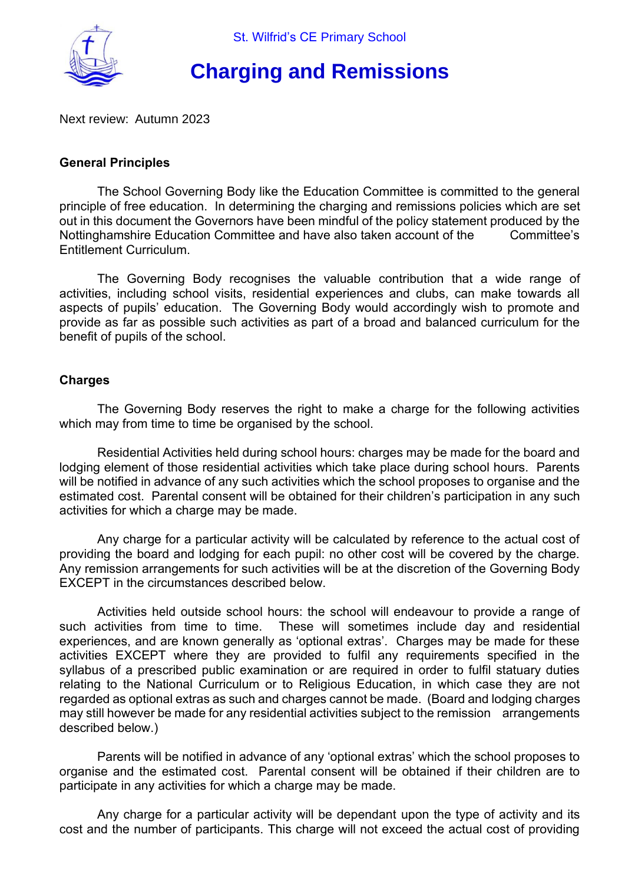

# **Charging and Remissions**

Next review: Autumn 2023

## **General Principles**

The School Governing Body like the Education Committee is committed to the general principle of free education. In determining the charging and remissions policies which are set out in this document the Governors have been mindful of the policy statement produced by the Nottinghamshire Education Committee and have also taken account of the Committee's Entitlement Curriculum.

The Governing Body recognises the valuable contribution that a wide range of activities, including school visits, residential experiences and clubs, can make towards all aspects of pupils' education. The Governing Body would accordingly wish to promote and provide as far as possible such activities as part of a broad and balanced curriculum for the benefit of pupils of the school.

## **Charges**

The Governing Body reserves the right to make a charge for the following activities which may from time to time be organised by the school.

Residential Activities held during school hours: charges may be made for the board and lodging element of those residential activities which take place during school hours. Parents will be notified in advance of any such activities which the school proposes to organise and the estimated cost. Parental consent will be obtained for their children's participation in any such activities for which a charge may be made.

Any charge for a particular activity will be calculated by reference to the actual cost of providing the board and lodging for each pupil: no other cost will be covered by the charge. Any remission arrangements for such activities will be at the discretion of the Governing Body EXCEPT in the circumstances described below.

Activities held outside school hours: the school will endeavour to provide a range of such activities from time to time. These will sometimes include day and residential experiences, and are known generally as 'optional extras'. Charges may be made for these activities EXCEPT where they are provided to fulfil any requirements specified in the syllabus of a prescribed public examination or are required in order to fulfil statuary duties relating to the National Curriculum or to Religious Education, in which case they are not regarded as optional extras as such and charges cannot be made. (Board and lodging charges may still however be made for any residential activities subject to the remission arrangements described below.)

Parents will be notified in advance of any 'optional extras' which the school proposes to organise and the estimated cost. Parental consent will be obtained if their children are to participate in any activities for which a charge may be made.

Any charge for a particular activity will be dependant upon the type of activity and its cost and the number of participants. This charge will not exceed the actual cost of providing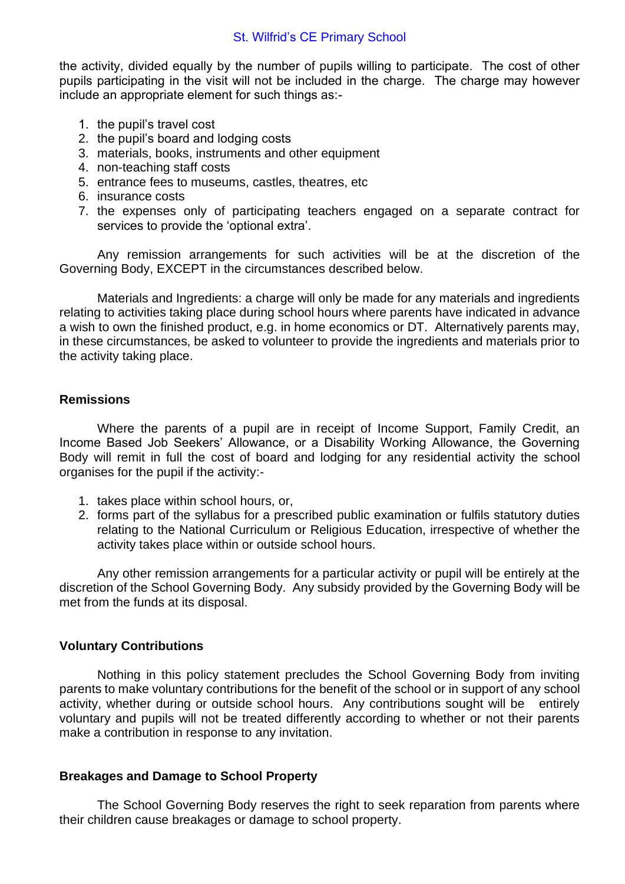#### St. Wilfrid's CE Primary School

the activity, divided equally by the number of pupils willing to participate. The cost of other pupils participating in the visit will not be included in the charge. The charge may however include an appropriate element for such things as:-

- 1. the pupil's travel cost
- 2. the pupil's board and lodging costs
- 3. materials, books, instruments and other equipment
- 4. non-teaching staff costs
- 5. entrance fees to museums, castles, theatres, etc
- 6. insurance costs
- 7. the expenses only of participating teachers engaged on a separate contract for services to provide the 'optional extra'.

Any remission arrangements for such activities will be at the discretion of the Governing Body, EXCEPT in the circumstances described below.

Materials and Ingredients: a charge will only be made for any materials and ingredients relating to activities taking place during school hours where parents have indicated in advance a wish to own the finished product, e.g. in home economics or DT. Alternatively parents may, in these circumstances, be asked to volunteer to provide the ingredients and materials prior to the activity taking place.

## **Remissions**

Where the parents of a pupil are in receipt of Income Support, Family Credit, an Income Based Job Seekers' Allowance, or a Disability Working Allowance, the Governing Body will remit in full the cost of board and lodging for any residential activity the school organises for the pupil if the activity:-

- 1. takes place within school hours, or,
- 2. forms part of the syllabus for a prescribed public examination or fulfils statutory duties relating to the National Curriculum or Religious Education, irrespective of whether the activity takes place within or outside school hours.

Any other remission arrangements for a particular activity or pupil will be entirely at the discretion of the School Governing Body. Any subsidy provided by the Governing Body will be met from the funds at its disposal.

#### **Voluntary Contributions**

Nothing in this policy statement precludes the School Governing Body from inviting parents to make voluntary contributions for the benefit of the school or in support of any school activity, whether during or outside school hours. Any contributions sought will be entirely voluntary and pupils will not be treated differently according to whether or not their parents make a contribution in response to any invitation.

#### **Breakages and Damage to School Property**

The School Governing Body reserves the right to seek reparation from parents where their children cause breakages or damage to school property.